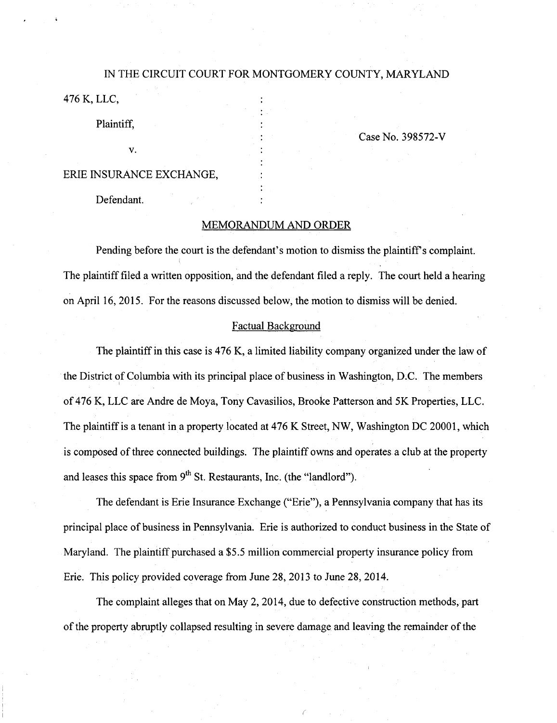# IN THE CIRCUIT COURT FOR MONTGOMERY COUNTY, MARYLAND 476 K, LLC,

Plaintiff,

V.

CaseNo. 398572-V

# ERIE INSURANCE EXCHANGE,

Defendant.

## MEMORANDUM AND ORDER

Pending before the court is the defendant's motion to dismiss the plaintiff's complaint. The plaintiff filed a written opposition, and the defendant filed a reply. The court held a hearing on April 16, 2015. For the reasons discussed below, the motion to dismiss will be denied.

#### Factual Background

The plaintiff in this case is 476 K, a limited liability company organized under the law of the District of Columbia with its principal place of business in Washington, D;C. The members of 476 K, LLC are Andre de Moya, Tony Cavasilios, Brooke Patterson and 5K Properties, LLC. The plaintiff is a tenant in a property located at 476 K Street, NW, Washington DC 20001, which is composed of three connected buildings. The plaintiff owns and operates a club at the property and leases this space from  $9^{\text{th}}$  St. Restaurants, Inc. (the "landlord").

The defendant is Erie Insurance Exchange ("Erie"), a Pennsylvania company that has its principal place of business in Pennsylvania. Erie is authorized to conduct business in the State of Maryland. The plaintiff purchased a \$5.5 million commercial property insurance policy from Erie. This policy provided coverage from June 28, 2013 to June 28, 2014.

The complaint alleges that on May 2, 2014, due to defective construction methods, part of the property abruptly collapsed resulting in severe damage and leaving the remainder of the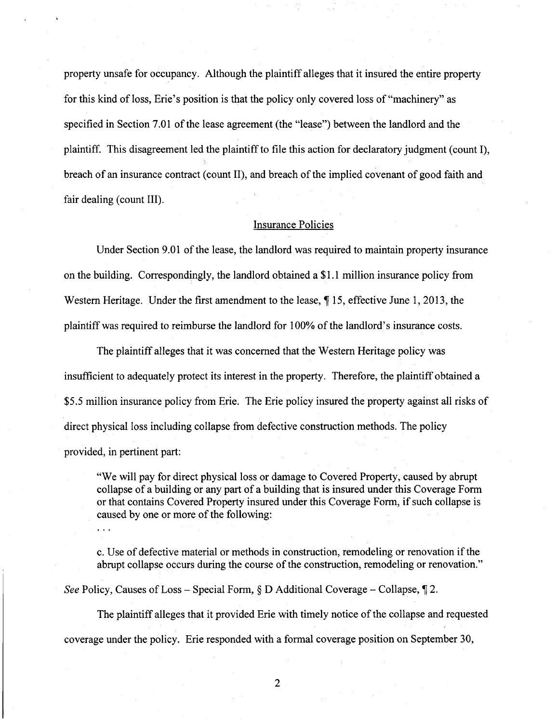property unsafe for occupancy. Although the plaintiff alleges that it insured the entire property for this kind of loss, Erie's position is that the policy only covered loss of "machinery" as specified in Section 7.01 of the lease agreement (the "lease") between the landlord and the plaintiff. This disagreement led the plaintiff to file this action for declaratory judgment (count I), breach of an insurance contract (count II), and breach of the implied covenant of good faith and fair dealing (count III).

## Insurance Policies

Under Section 9.01 of the lease, the landlord was required to maintain property insurance on the building. Correspondingly, the landlord obtained a \$1.1 million insurance policy from Western Heritage. Under the first amendment to the lease,  $\P$  15, effective June 1, 2013, the plaintiff was required to reimburse the landlord for 100% of the landlord's insurance costs.

The plaintiff alleges that it was concemed that the Western Heritage policy was insufficient to adequately protect its interest in the property. Therefore, the plaintiff obtained a \$5.5 million insurance policy from Erie. The Erie policy insured the property against all risks of direct physical loss including collapse from defective construction methods. The policy provided, in pertinent part:

"We will pay for direct physical loss or damage to Covered Property, caused by abrupt collapse of a building or any part of a building that is insured under this Coverage Form or that contains Covered Property insured under this Coverage Form, if such collapse is caused by one or more of the following:

c. Use of defective material or methods in construction, remodeling or renovation if the abrupt collapse occurs during the course of the construction, remodeling or renovation."

See Policy, Causes of Loss – Special Form,  $\S$  D Additional Coverage – Collapse,  $\P$  2.

The plaintiff alleges that it provided Erie with timely notice of the collapse and requested coverage under the policy. Erie responded with a formal coverage position on September 30,

 $\overline{2}$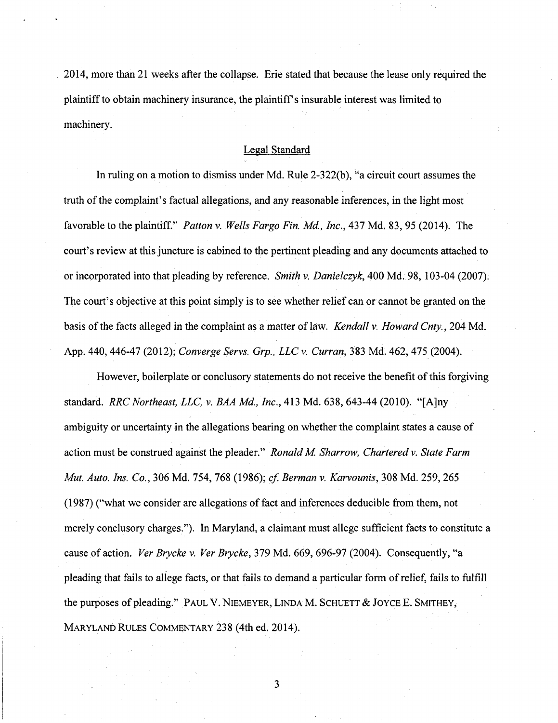2014, more than 21 weeks after the collapse. Erie stated that because the lease only required the plaintiff to obtain machinery insurance, the plaintiff's insurable interest was limited to machinery.

## Legal Standard

In ruling on a motion to dismiss under Md. Rule 2-322(b), "a circuit court assumes the truth of the complaint's factual allegations, and any reasonable inferences, in the light most favorable to the plaintiff." *Patton v. Wells Fargo Fin. Md., Inc.*, 437 Md. 83, 95 (2014). The court's review at this juncture is cabined to the pertinent pleading and any documents attached to or incorporated into that pleading by reference. Smith v. Danielczyk, 400 Md. 98, 103-04 (2007). The court's objective at this point simply is to see whether relief can or cannot be granted on the basis of the facts alleged in the complaint as a matter of law. Kendall v. Howard Cnty., 204 Md. App. 440, 446-47 (2012); Converge Servs. Grp., LLC v. Curran, 383 Md. 462, 475 (2004).

However, boilerplate or conclusory statements do not receive the benefit of this forgiving standard. RRC Northeast, LLC, v. BAA Md, Inc, 413 Md. 638, 643-44 (2010). "[A]ny ambiguity or uncertainty in the allegations bearing on whether the complaint states a cause of action must be construed against the pleader." Ronald M. Sharrow, Chartered v. State Farm Mut. Auto. Ins. Co., 306 Md. 754, 768 (1986); cf, Berman v. Karvounis,30S Md. 259, 265 (1987) ("what we consider are allegations of fact and inferences deducible from them, not merely conclusory charges."). In Maryland, a claimant must allege sufficient facts to constitute a cause of action. Ver Brycke v. Ver Brycke, 379 Md. 669, 696-97 (2004). Consequently, "a pleading that fails to allege facts, or that fails to demand a particular form of relief, fails to fulfill the purposes of pleading." PAUL V. NIEMEYER, LINDA M. SCHUETT & JOYCE E. SMITHEY, MARYLAND RULES COMMENTARY 238 (4th ed. 2014).

 $\overline{\mathbf{3}}$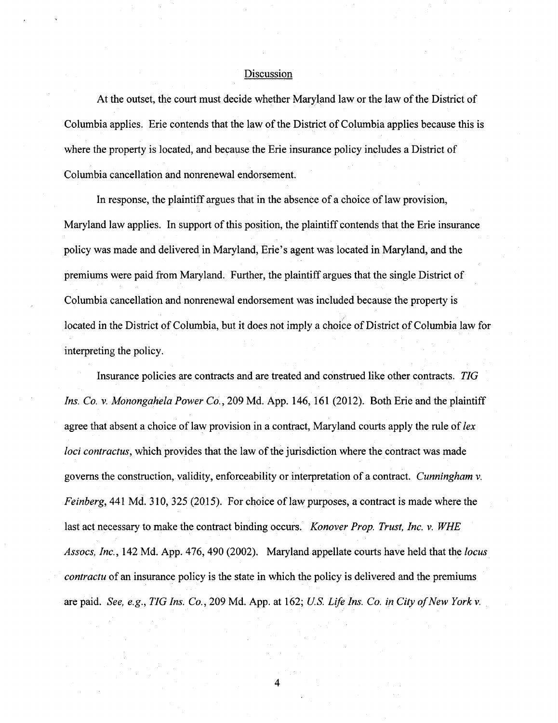### **Discussion**

At the outset, the court must decide whether Maryland law or the law of the District of Columbia applies. Erie contends that the law of the District of Columbia applies because this is where the property is located, and because the Erie insurance policy includes a District of Columbia cancellation and nonrenewal endorsement.

In response, the plaintiff argues that in the absence of a choice of law provision, Maryland law applies. In support of this position, the plaintiff contends that the Erie insurance policy was made and delivered in Maryland, Erie's agent was located in Maryland, and the premiums were paid from Maryland. Further, the plaintiff argues that the single District of Columbia cancellation and nonrenewal endorsement was included because the property is located in the District of Columbia, but it does not imply a choice of District of Columbia law for interpreting the policy.

Insurance policies are contracts and are treated and construed like other contracts. TIG Ins. Co. V. Monongahela Power Co., 209 Md. App. 146, 161 (2012). Both Erie and the plaintiff agree that absent a choice of law provision in a contract, Maryland courts apply the rule of lex loci contractus, which provides that the law of the jurisdiction where the contract was made governs the construction, validity, enforceability or interpretation of a contract. Cunningham v. Feinberg, 441 Md. 310, 325 (2015). For choice of law purposes, a contract is made where the last act necessary to make the contract binding occurs. Konover Prop. Trust, Inc. v. WHE Assocs, Inc., 142 Md. App. 476, 490 (2002). Maryland appellate courts have held that the locus contractu of an insurance policy is the state in which the policy is delivered and the premiums are paid. See, e.g., TIG Ins. Co., 209 Md. App. at 162; U.S. Life Ins. Co. in City of New York v.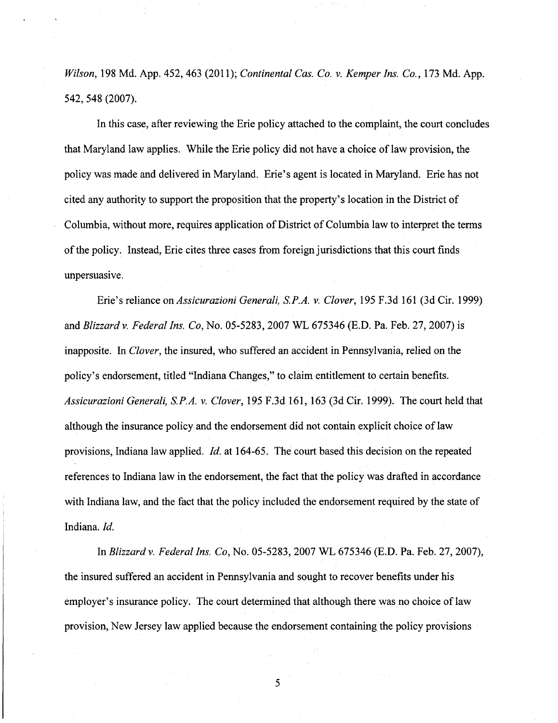Wilson, 198 Md. App. 452, 463 (2011); Continental Cas. Co. v. Kemper Ins. Co., 173 Md. App. 542,548(2007).

In this case, after reviewing the Erie policy attached to the complaint, the court concludes that Maryland law applies. While the Erie policy did not have a choice of law provision, the policy was made and delivered in Maryland. Erie's agent is located in Maryland. Erie has not cited any authority to support the proposition that the property's location in the District of Columbia, without more, requires application of District of Columbia law to interpret the terms of the policy. Instead, Erie cites three cases from foreign jurisdictions that this court finds unpersuasive.

Erie's reliance on Assicurazioni Generali, S.P.A. v. Clover, 195 F.3d 161 (3d Cir. 1999) and Blizzard v. Federal Ins. Co, No. 05-5283, 2007 WL 675346 (E.D. Pa. Feb. 27, 2007) is inapposite. In Clover, the insured, who suffered an accident in Pennsylvania, relied on the policy's endorsement, titled "Indiana Changes," to claim entitlement to certain benefits. Assicurazioni Generali, S.P.A. v. Clover, 195 F.3d 161, 163 (3d Cir. 1999). The court held that although the insurance policy and the endorsement did not contain explicit choice of law provisions, Indiana law applied. Id. at 164-65. The court based this decision on the repeated references to Indiana law in the endorsement, the fact that the policy was drafted in accordance with Indiana law, and the fact that the policy included the endorsement required by the state of Indiana. Id.

In Blizzard v. Federal Ins. Co, No. 05-5283, 2007 WL 675346 (E.D. Pa. Feb. 27, 2007), the insured suffered an accident in Pennsylvania and sought to recover benefits under his employer's insurance policy. The court determined that although there was no choice of law provision. New Jersey law applied because the endorsement containing the policy provisions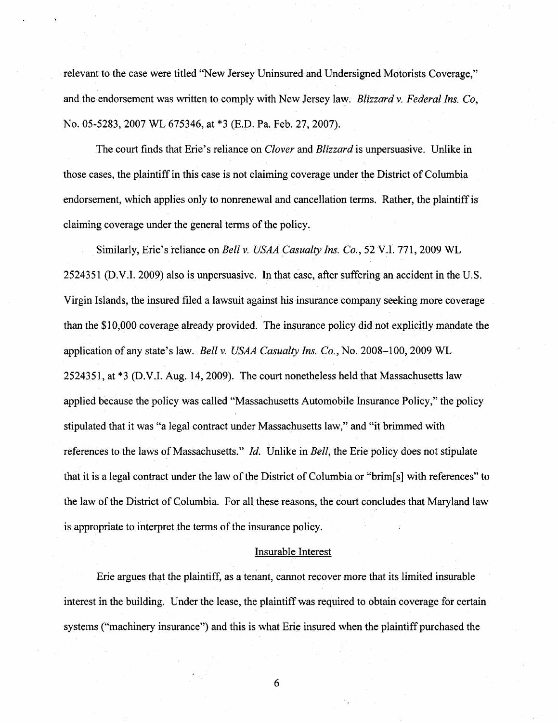relevant to the case were titled "New Jersey Uninsured and Undersigned Motorists Coverage," and the endorsement was written to comply with New Jersey law. Blizzard v. Federal Ins. Co, No. 05-5283, 2007 WL 675346, at \*3 (E.D. Pa. Feb. 27, 2007).

The court finds that Erie's reliance on *Clover* and *Blizzard* is unpersuasive. Unlike in those cases, the plaintiff in this case is not claiming coverage under the District of Columbia endorsement, which applies only to nonrenewal and cancellation terms. Rather, the plaintiff is claiming coverage under the general terms of the policy.

Similarly, Erie's reliance on Bell v. USAA Casualty Ins. Co., 52 V.I. 771, 2009 WL 2524351 (D.V.I. 2009) also is unpersuasive. In that case, after suffering an accident in the U.S. Virgin Islands, the insured filed a lawsuit against his insurance company seeking more coverage than the \$10,000 coverage already provided. The insurance policy did not explicitly mandate the application of any state's law. Bell v. USAA Casualty Ins. Co., No. 2008-100, 2009 WL 2524351, at \*3 (D.V.I. Aug. 14, 2009). The court nonetheless held that Massachusetts law applied because the policy was called "Massachusetts Automobile Insurance Policy," the policy stipulated that it was "a legal contract under Massachusetts law," and "it brimmed with references to the laws of Massachusetts." *Id.* Unlike in *Bell*, the Erie policy does not stipulate that it is a legal contract under the law of the District of Columbia or "brim[s] with references" to the law of the District of Columbia. For all these reasons, the court concludes that Maryland law is appropriate to interpret the terms of the insurance policy.

#### Insurable Interest

Erie argues that the plaintiff, as a tenant, cannot recover more that its limited insurable interest in the building. Under the lease, the plaintiff was required to obtain coverage for certain systems ("machinery insurance") and this is what Erie insured when the plaintiff purchased the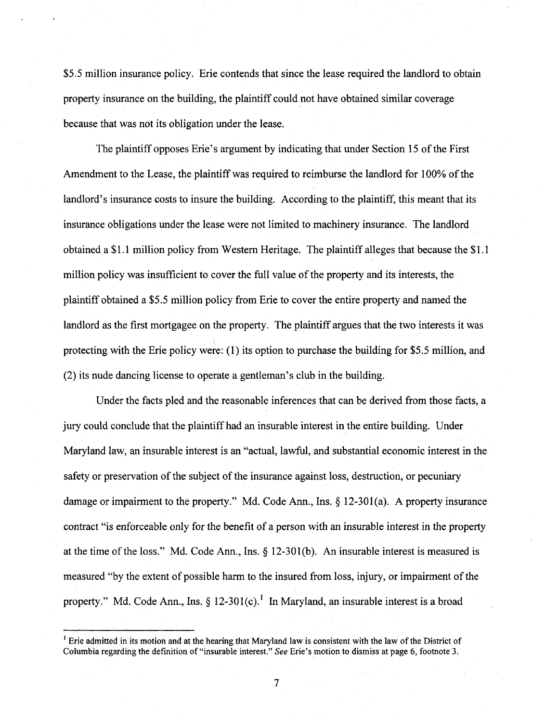\$5.5 million insurance policy. Erie contends that since the lease required the landlord to obtain property insurance on the building, the plaintiff could not have obtained similar coverage because that was not its obligation under the lease.

The plaintiff opposes Erie's argument by indicating that under Section 15 of the First Amendment to the Lease, the plaintiff was required to reimburse the landlord for 100% of the landlord's insurance costs to insure the building. According to the plaintiff, this meant that its insurance obligations under the lease were not limited to machinery insurance. The landlord obtained a \$1.1 million policy from Western Heritage. The plaintiff alleges that because the \$1.1 million policy was insufficient to cover the full value of the property and its interests, the plaintiff obtained a \$5.5 million policy from Erie to cover the entire property and named the landlord as the first mortgagee on the property. The plaintiff argues that the two interests it was protecting with the Erie policy were: (1) its option to purchase the building for \$5.5 million, and (2) its nude dancing license to operate a gentleman's club in the building.

Under the facts pled and the reasonable inferences that can be derived from those facts, a jury could conclude that the plaintiff had an insurable interest in the entire building. Under Maryland law, an insurable interest is an "actual, lawful, and substantial economic interest in the safety or preservation of the subject of the insurance against loss, destruction, or pecuniary damage or impairment to the property." Md. Code Ann., Ins. § 12-301(a). A property insurance contract "is enforceable only for the benefit of a person with an insurable interest in the property at the time of the loss." Md. Code Ann., Ins.  $\S$  12-301(b). An insurable interest is measured is measured "by the extent of possible harm to the insured from loss, injury, or impairment of the property." Md. Code Ann., Ins.  $\S$  12-301(c).<sup>1</sup> In Maryland, an insurable interest is a broad

 $\overline{7}$ 

 $<sup>1</sup>$  Erie admitted in its motion and at the hearing that Maryland law is consistent with the law of the District of</sup> Columbia regarding the definition of "insurable interest." See Erie's motion to dismiss at page 6, footnote 3.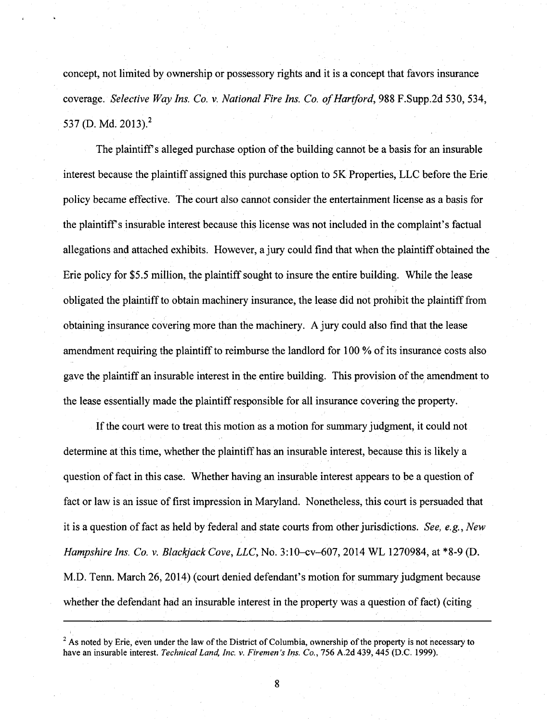concept, not limited by ovmership or possessory rights and it is a concept that favors insurance coverage. Selective Way Ins. Co. v. National Fire Ins. Co. of Hartford, 988 F.Supp.2d 530, 534, 537 (D. Md. 2013).<sup>2</sup>

The plaintiff's alleged purchase option of the building cannot be a basis for an insurable interest because the plaintiff assigned this purchase option to 5K Properties, LLC before the Erie policy became effective. The court also cannot consider the entertainment license as a basis for the plaintiff's insurable interest because this license was not included in the complaint's factual allegations and attached exhibits. However, a jury could find that when the plaintiff obtained the Erie policy for \$5.5 million, the plaintiff sought to insure the entire building. While the lease obligated the plaintiff to obtain machinery insurance, the lease did not prohibit the plaintiff from obtaining insurance covering more than the machinery. A jury could also find that the lease amendment requiring the plaintiff to reimburse the landlord for 100 % of its insurance costs also gave the plaintiff an insurable interest in the entire building. This provision of the amendment to the lease essentially made the plaintiff responsible for all insurance covering the property.

If the court were to treat this motion as a motion for summary judgment, it could not determine at this time, whether the plaintiff has an insurable interest, because this is likely a question of fact in this case. Whether having an insurable interest appears to be a question of fact or law is an issue of first impression in Maryland. Nonetheless, this court is persuaded that it is a question of fact as held by federal and state courts from other jurisdictions. See, e.g.. New Hampshire Ins. Co. v. Blackjack Cove, LLC, No. 3:10-cv-607, 2014 WL 1270984, at \*8-9 (D. M.D. Tenn. March 26, 2014) (court denied defendant's motion for summary judgment because whether the defendant had an insurable interest in the property was a question of fact) (citing

 $3$  As noted by Erie, even under the law of the District of Columbia, ownership of the property is not necessary to have an insurable interest. Technical Land, Inc. v. Firemen's Ins. Co., 756 A.2d 439, 445 (D.C. 1999).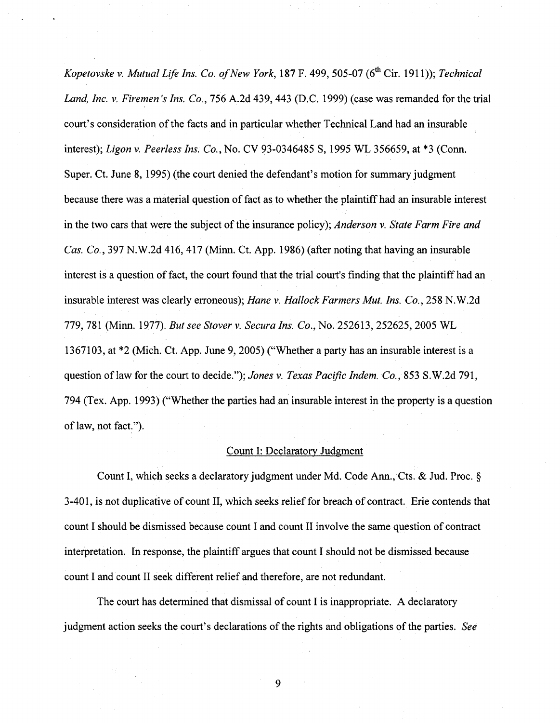Kopetovske v. Mutual Life Ins. Co. of New York, 187 F. 499, 505-07 (6<sup>th</sup> Cir. 1911)); Technical Land, Inc. v. Firemen's Ins. Co., 756 A.2d 439, 443 (D.C. 1999) (case was remanded for the trial court's consideration ofthe facts and in particular whether Technical Land had an insurable interest); Ligon v. Peerless Ins. Co., No. CV 93-0346485 S, 1995 WL 356659, at \*3 (Conn. Super. Ct. June 8, 1995) (the court denied the defendant's motion for summary judgment because there was a material question of fact as to whether the plaintiff had an insurable interest in the two cars that were the subject of the insurance policy); Anderson v. State Farm Fire and Cas. Co., 397 N.W.2d 416, 417 (Minn. Ct. App. 1986) (after noting that having an insurable interest is a question of fact, the court found that the trial court's finding that the plaintiff had an insurable interest was clearly erroneous); Hane v. Hallock Farmers Mut. Ins. Co., 258 N.W.2d 779, 781 (Minn. 1977). But see Stover v. Secura Ins. Co., No. 252613, 252625, 2005 WL 1367103, at \*2 (Mich. Ct. App. June 9, 2005) ("Whether a party has an insurable interest is a question of law for the court to decide."); Jones v. Texas Pacific Indem. Co., 853 S.W.2d 791, 794 (Tex. App. 1993) ("Whether the parties had an insurable interest in the property is a question of law, not fact.").

## Count I: Declaratory Judgment

Count I, which seeks a declaratory judgment under Md. Code Ann., Cts. & Jud. Proc. § 3-401, is not duplicative of count II, which seeks relief for breach of contract. Erie contends that count I should be dismissed because count I and count II involve the same question of contract interpretation. In response, the plaintiff argues that count I should not be dismissed because count I and count II seek different relief and therefore, are not redundant.

The court has determined that dismissal of count I is inappropriate. A declaratory judgment action seeks the court's declarations of the rights and obligations of the parties. See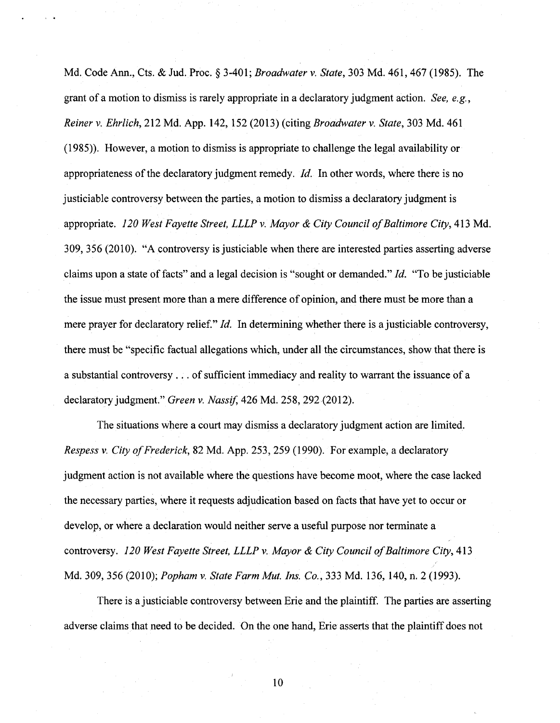Md. Code Ann., Cts. & Jud. Proc. § 3-401; Broadwater v. State, 303 Md. 461, 467 (1985). The grant of a motion to dismiss is rarely appropriate in a declaratory judgment action. See, e.g., Reiner v. Ehrlich, 212 Md. App. 142, 152 (2013) (citing Broadwater v. State, 303 Md. 461 (1985)). However, a motion to dismiss is appropriate to challenge the legal availability or appropriateness of the declaratory judgment remedy. Id. In other words, where there is no justiciable controversy between the parties, a motion to dismiss a declaratory judgment is appropriate. 120 West Fayette Street, LLLP v. Mayor & City Council of Baltimore City, 413 Md. 309, 356 (2010). "A controversy is justiciable when there are interested parties asserting adverse claims upon a state of facts" and a legal decision is "sought or demanded." Id. "To be justiciable the issue must present more than a mere difference of opinion, and there must be more than a mere prayer for declaratory relief."  $Id$ . In determining whether there is a justiciable controversy, there must be "specific factual allegations which, under all the circumstances, show that there is a substantial controversy . . . of sufficient immediacy and reality to warrant the issuance of a declaratory judgment." Green v. Nassif, 426 Md. 258, 292 (2012).

The situations where a court may dismiss a declaratory judgment action are limited. Respess v. City of Frederick, 82 Md. App. 253, 259 (1990). For example, a declaratory judgment action is not available where the questions have become moot, where the case lacked the necessary parties, where it requests adjudication based on facts that have yet to occur or develop, or where a declaration would neither serve a useful purpose nor terminate a controversy. 120 West Fayette Street, LLLP v. Mayor & City Council of Baltimore City, 413 Md. 309, 356 (2010); Popham v. State Farm Mut. Ins. Co., 333 Md. 136, 140, n. 2 (1993).

There is a justiciable controversy between Erie and the plaintiff. The parties are asserting adverse claims that need to be decided. On the one hand, Erie asserts that the plaintiff does not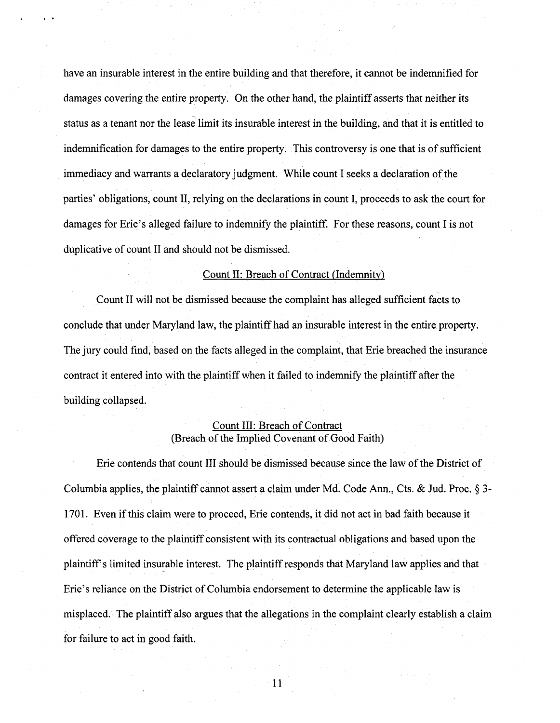have an insurable interest in the entire building and that therefore, it cannot be indemnified for damages covering the entire property. On the other hand, the plaintiff asserts that neither its status as a tenant nor the lease limit its insurable interest in the building, and that it is entitled to indemnification for damages to the entire property. This controversy is one that is of sufficient immediacy and warrants a declaratory judgment. While count I seeks a declaration of the parties' obligations, count II, relying on the declarations in count I, proceeds to ask the court for damages for Erie's alleged failure to indemnify the plaintiff. For these reasons, count I is not duplicative of count II and should not be dismissed.

#### Count II: Breach of Contract (Indemnity)

Count II will not be dismissed because the complaint has alleged sufficient facts to conclude that under Maryland law, the plaintiff had an insurable interest in the entire property. The jury could find, based on the facts alleged in the complaint, that Erie breached the insurance contract it entered into with the plaintiff when it failed to indemnify the plaintiff after the building collapsed.

## Count III: Breach of Contract (Breach of the Implied Covenant of Good Faith)

Erie contends that count III should be dismissed because since the law of the District of Columbia applies, the plaintiff cannot assert a claim under Md. Code Ann., Cts. & Jud. Proc. § 3- 1701. Even if this claim were to proceed, Erie contends, it did not act in bad faith because it offered coverage to the plaintiff consistent with its contractual obligations and based upon the plaintiffs limited insurable interest. The plaintiff responds that Maryland law applies and that Erie's reliance on the District of Columbia endorsement to determine the applicable law is misplaced. The plaintiff also argues that the allegations in the complaint clearly establish a claim for failure to act in good faith.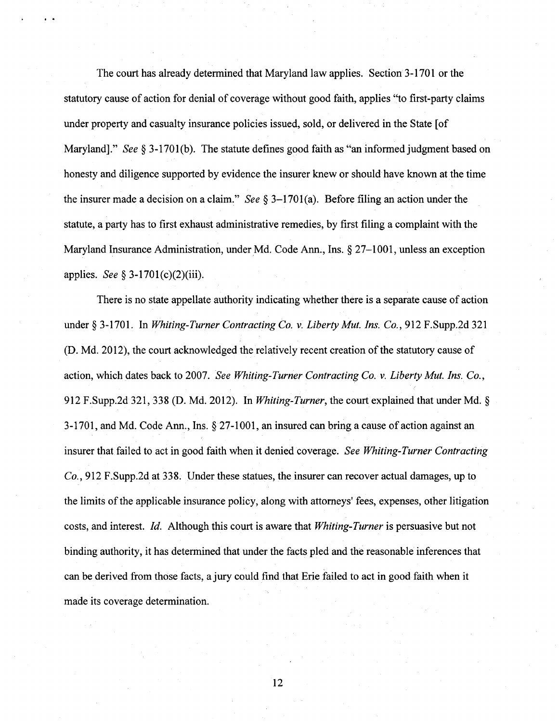The court has already determined that Maryland law applies. Section 3-1701 or the statutory cause of action for denial of coverage without good faith, applies "to first-party claims under property and casualty insurance policies issued, sold, or delivered in the State [of Maryland]." See § 3-1701(b). The statute defines good faith as "an informed judgment based on honesty and diligence supported by evidence the insurer knew or should have known at the time the insurer made a decision on a claim." See  $\S$  3-1701(a). Before filing an action under the statute, a party has to first exhaust administrative remedies, by first filing a complaint with the Maryland Insurance Administration, under Md. Code Ann., Ins. § 27-1001, unless an exception applies. See § 3-1701(c)(2)(iii).

There is no state appellate authority indicating whether there is a separate cause of action under § 3-1701. In Whiting-Turner Contracting Co. v. Liberty Mut. Ins. Co., 912 F.Supp.2d 321 (D. Md. 2012), the court acknowledged the relatively recent creation of the statutory cause of action, which dates back to 2007. See Whiting-Turner Contracting Co. v. Liberty Mut. Ins. Co., 912 F.Supp.2d 321, 338 (D. Md. 2012). In Whiting-Turner, the court explained that under Md. § 3-1701, and Md. Code Ann., Ins. § 27-1001, an insured can bring a cause of action against an insurer that failed to act in good faith when it denied coverage. See Whiting-Turner Contracting Co., 912 F.Supp.2d at 338. Under these statues, the insurer can recover actual damages, up to the limits of the applicable insurance policy, along with attorneys' fees, expenses, other litigation costs, and interest. Id. Although this court is aware that Whiting-Turner is persuasive but not binding authority, it has determined that under the facts pled and the reasonable inferences that can be derived from those facts, a jury could find that Erie failed to act in good faith when it made its coverage determination.